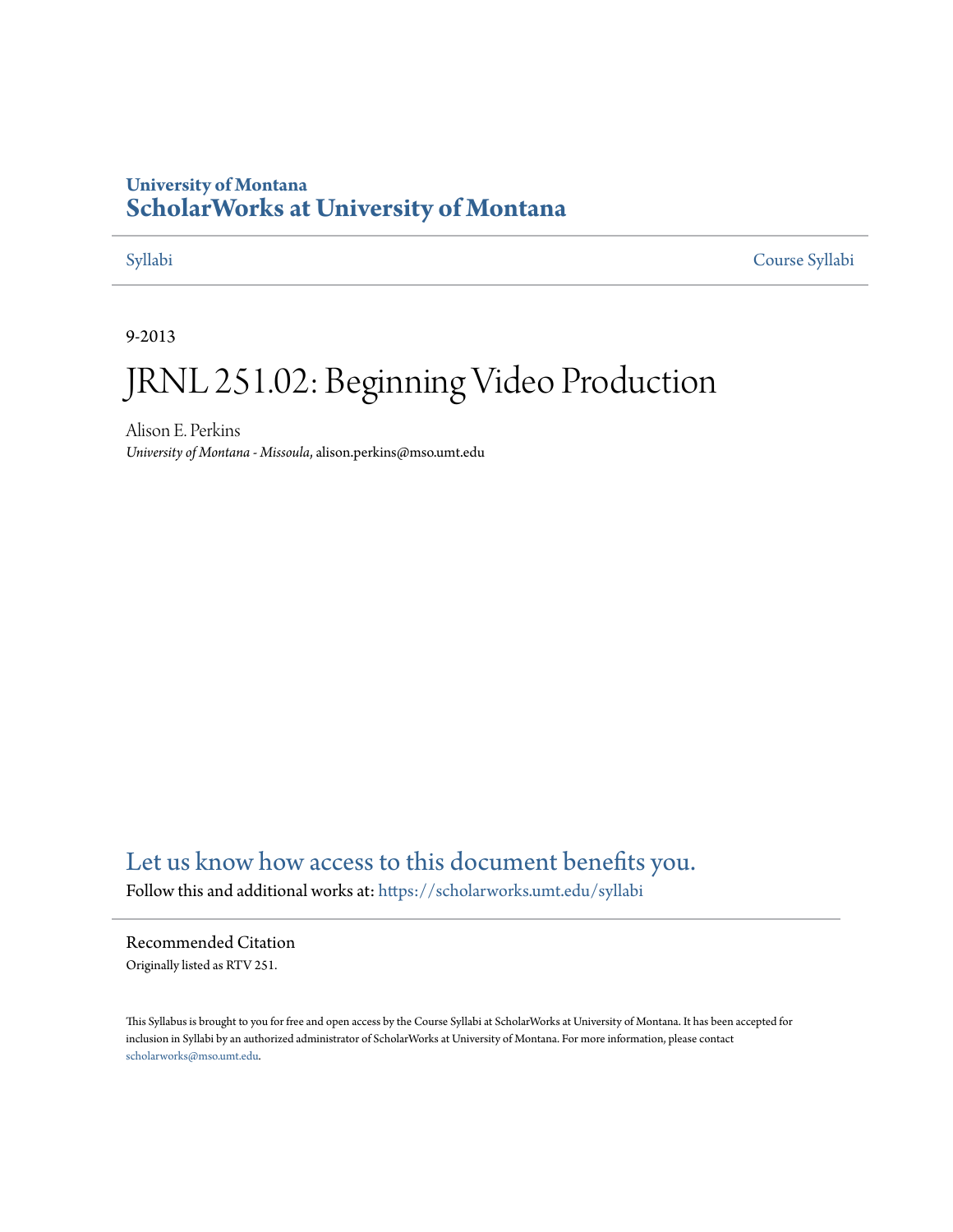## **University of Montana [ScholarWorks at University of Montana](https://scholarworks.umt.edu?utm_source=scholarworks.umt.edu%2Fsyllabi%2F156&utm_medium=PDF&utm_campaign=PDFCoverPages)**

[Syllabi](https://scholarworks.umt.edu/syllabi?utm_source=scholarworks.umt.edu%2Fsyllabi%2F156&utm_medium=PDF&utm_campaign=PDFCoverPages) [Course Syllabi](https://scholarworks.umt.edu/course_syllabi?utm_source=scholarworks.umt.edu%2Fsyllabi%2F156&utm_medium=PDF&utm_campaign=PDFCoverPages)

9-2013

# JRNL 251.02: Beginning Video Production

Alison E. Perkins *University of Montana - Missoula*, alison.perkins@mso.umt.edu

# [Let us know how access to this document benefits you.](https://goo.gl/forms/s2rGfXOLzz71qgsB2)

Follow this and additional works at: [https://scholarworks.umt.edu/syllabi](https://scholarworks.umt.edu/syllabi?utm_source=scholarworks.umt.edu%2Fsyllabi%2F156&utm_medium=PDF&utm_campaign=PDFCoverPages)

#### Recommended Citation

Originally listed as RTV 251.

This Syllabus is brought to you for free and open access by the Course Syllabi at ScholarWorks at University of Montana. It has been accepted for inclusion in Syllabi by an authorized administrator of ScholarWorks at University of Montana. For more information, please contact [scholarworks@mso.umt.edu](mailto:scholarworks@mso.umt.edu).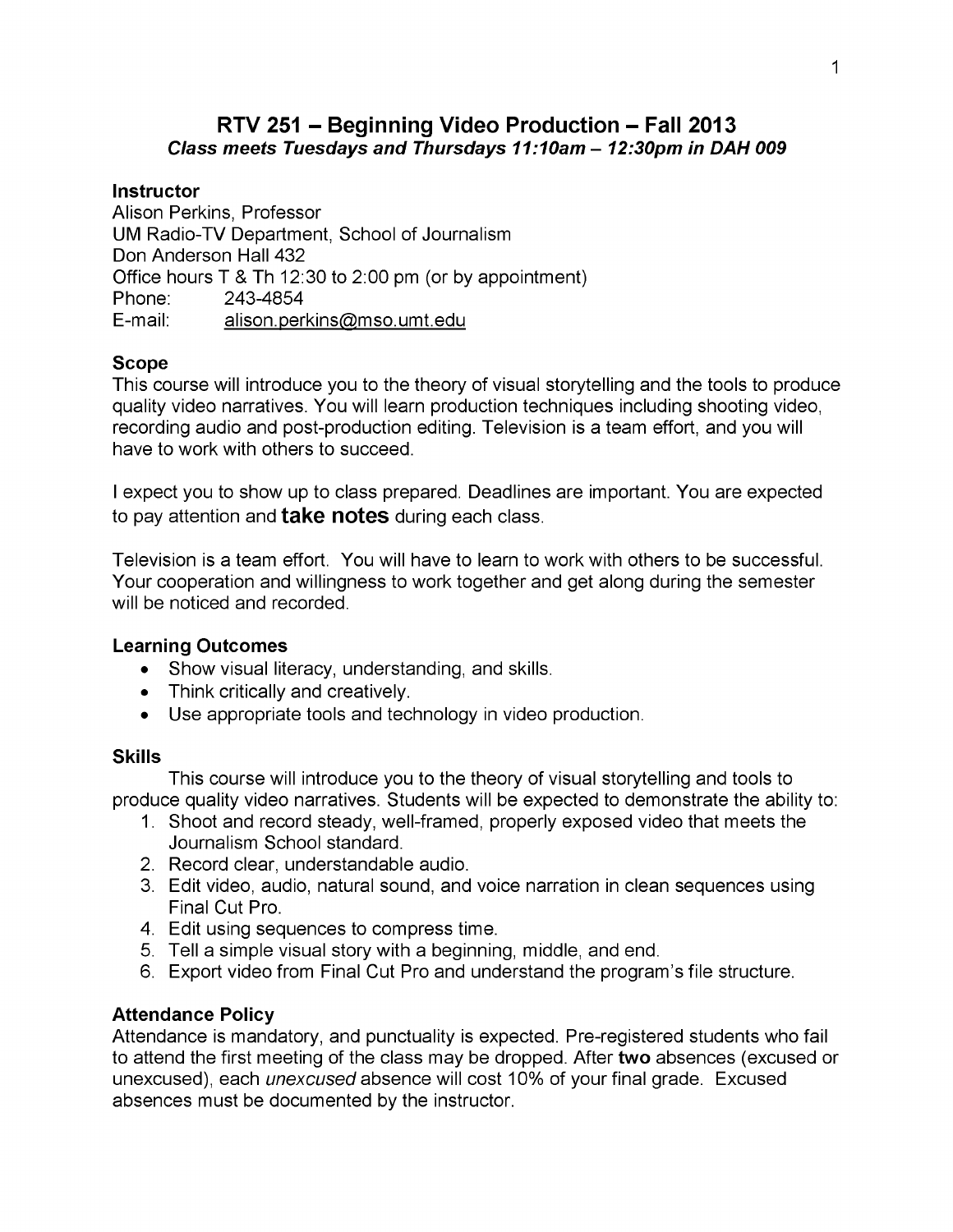### **RTV 251 - Beginning Video Production - Fall 2013** *Class meets Tuesdays and Thursdays 11:10am - 12:30pm in DAH 009*

#### **Instructor**

Alison Perkins, Professor UM Radio-TV Department, School of Journalism Don Anderson Hall 432 Office hours T & Th 12:30 to 2:00 pm (or by appointment) Phone: 243-4854 E-mail: alison.perkins@mso.umt.edu

#### **Scope**

This course will introduce you to the theory of visual storytelling and the tools to produce quality video narratives. You will learn production techniques including shooting video, recording audio and post-production editing. Television is a team effort, and you will have to work with others to succeed.

I expect you to show up to class prepared. Deadlines are important. You are expected to pay attention and **take notes** during each class.

Television is a team effort. You will have to learn to work with others to be successful. Your cooperation and willingness to work together and get along during the semester will be noticed and recorded.

#### **Learning Outcomes**

- Show visual literacy, understanding, and skills.
- Think critically and creatively.
- Use appropriate tools and technology in video production.

#### **Skills**

This course will introduce you to the theory of visual storytelling and tools to produce quality video narratives. Students will be expected to demonstrate the ability to:

- 1. Shoot and record steady, well-framed, properly exposed video that meets the Journalism School standard.
- 2. Record clear, understandable audio.
- 3. Edit video, audio, natural sound, and voice narration in clean sequences using Final Cut Pro.
- 4. Edit using sequences to compress time.
- 5. Tell a simple visual story with a beginning, middle, and end.
- 6. Export video from Final Cut Pro and understand the program's file structure.

### **Attendance Policy**

Attendance is mandatory, and punctuality is expected. Pre-registered students who fail to attend the first meeting of the class may be dropped. After **two** absences (excused or unexcused), each *unexcused* absence will cost 10% of your final grade. Excused absences must be documented by the instructor.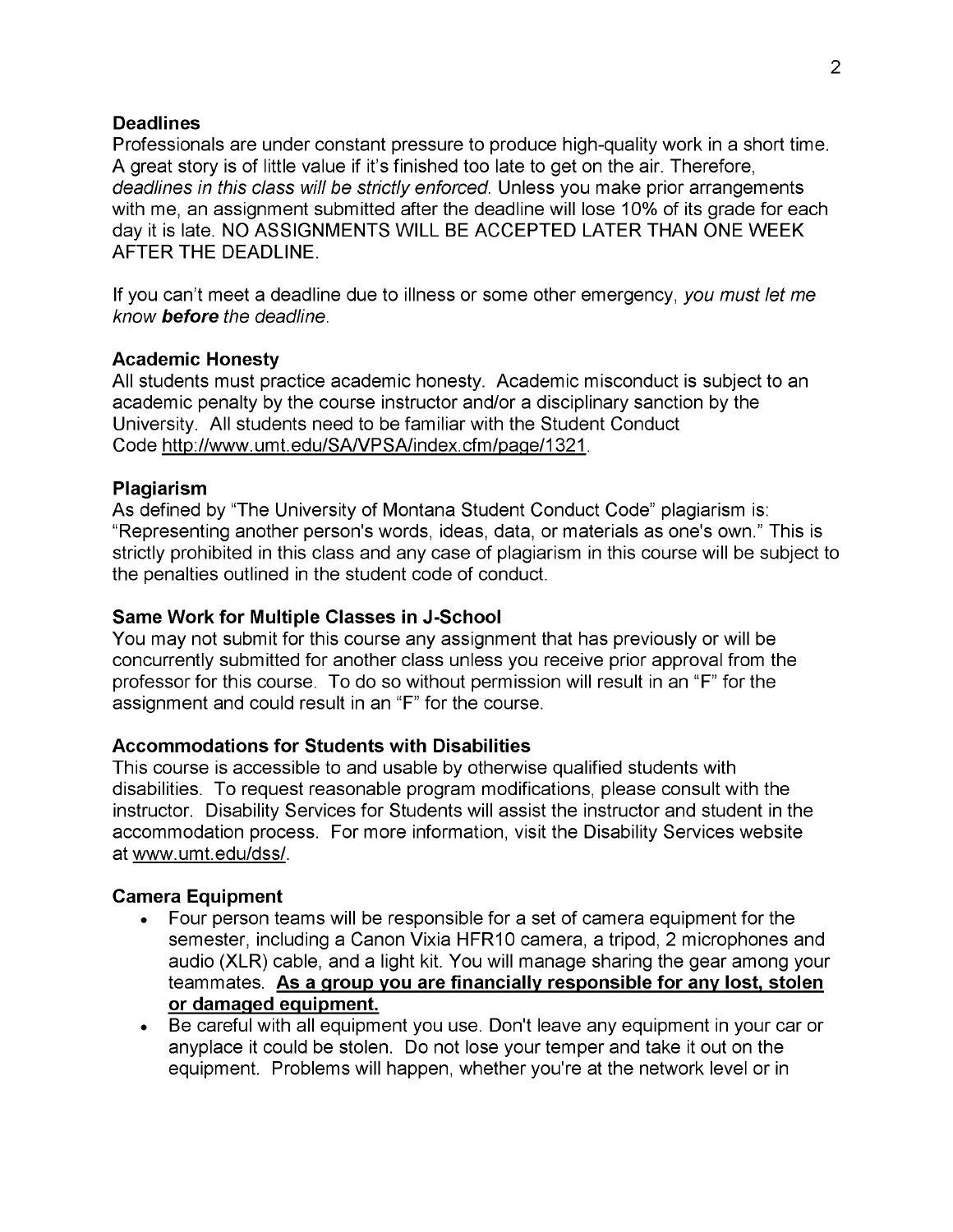#### **Deadlines**

Professionals are under constant pressure to produce high-quality work in a short time. A great story is of little value if it's finished too late to get on the air. Therefore, *deadlines in this class will be strictly enforced.* Unless you make prior arrangements with me, an assignment submitted after the deadline will lose 10% of its grade for each day it is late. NO ASSIGNMENTS WILL BE ACCEPTED LATER THAN ONE WEEK AFTER THE DEADLINE.

If you can't meet a deadline due to illness or some other emergency, *you must let me know before the deadline.*

#### **Academic Honesty**

All students must practice academic honesty. Academic misconduct is subject to an academic penalty by the course instructor and/or a disciplinary sanction by the University. All students need to be familiar with the Student Conduct Code http://www.umt.edu/SA/VPSA/index.cfm/paqe/1321.

#### **Plagiarism**

As defined by "The University of Montana Student Conduct Code" plagiarism is: "Representing another person's words, ideas, data, or materials as one's own." This is strictly prohibited in this class and any case of plagiarism in this course will be subject to the penalties outlined in the student code of conduct.

#### **Same Work for Multiple Classes in J-School**

You may not submit for this course any assignment that has previously or will be concurrently submitted for another class unless you receive prior approval from the professor for this course. To do so without permission will result in an "F" for the assignment and could result in an "F" for the course.

#### **Accommodations for Students with Disabilities**

This course is accessible to and usable by otherwise qualified students with disabilities. To request reasonable program modifications, please consult with the instructor. Disability Services for Students will assist the instructor and student in the accommodation process. For more information, visit the Disability Services website at www.umt.edu/dss/.

#### **Camera Equipment**

- Four person teams will be responsible for a set of camera equipment for the semester, including a Canon Vixia HFR10 camera, a tripod, 2 microphones and audio (XLR) cable, and a light kit. You will manage sharing the gear among your teammates. **As a group you are financially responsible for any lost, stolen or damaged equipment.**
- Be careful with all equipment you use. Don't leave any equipment in your car or anyplace it could be stolen. Do not lose your temper and take it out on the equipment. Problems will happen, whether you're at the network level or in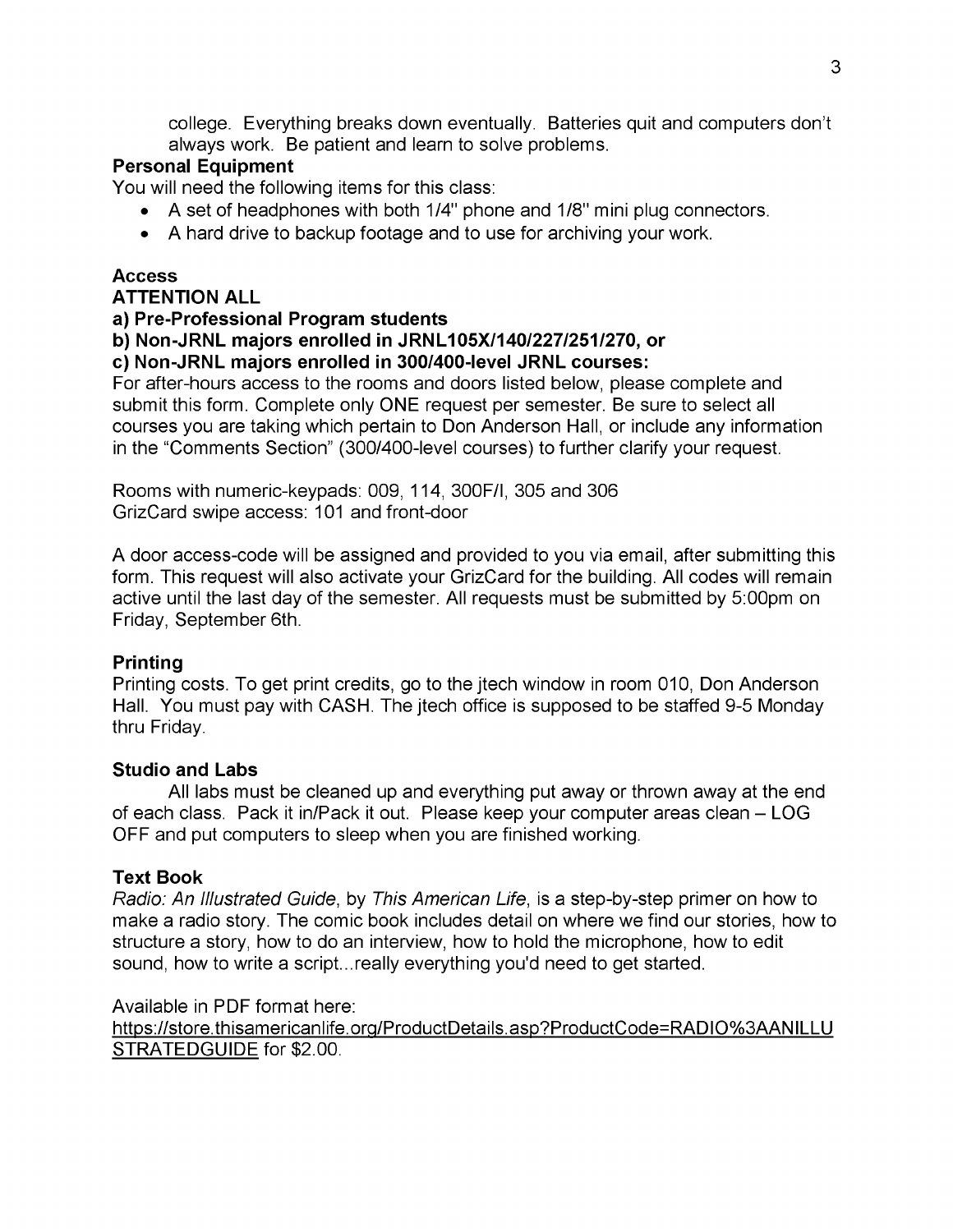college. Everything breaks down eventually. Batteries quit and computers don't always work. Be patient and learn to solve problems.

#### **Personal Equipment**

You will need the following items for this class:

- A set of headphones with both 1/4" phone and 1/8" mini plug connectors.
- A hard drive to backup footage and to use for archiving your work.

#### **Access ATTENTION ALL**

# **a) Pre-Professional Program students**

# **b) Non-JRNL majors enrolled in JRNL105X/140/227/251/270, or**

### **c) Non-JRNL majors enrolled in 300/400-level JRNL courses:**

For after-hours access to the rooms and doors listed below, please complete and submit this form. Complete only ONE request per semester. Be sure to select all courses you are taking which pertain to Don Anderson Hall, or include any information in the "Comments Section" (300/400-level courses) to further clarify your request.

Rooms with numeric-keypads: 009, 114, 300F/I, 305 and 306 GrizCard swipe access: 101 and front-door

A door access-code will be assigned and provided to you via email, after submitting this form. This request will also activate your GrizCard for the building. All codes will remain active until the last day of the semester. All requests must be submitted by 5:00pm on Friday, September 6th.

### **Printing**

Printing costs. To get print credits, go to the jtech window in room 010, Don Anderson Hall. You must pay with CASH. The jtech office is supposed to be staffed 9-5 Monday thru Friday.

### **Studio and Labs**

All labs must be cleaned up and everything put away or thrown away at the end of each class. Pack it in/Pack it out. Please keep your computer areas clean - LOG OFF and put computers to sleep when you are finished working.

### **Text Book**

*Radio: An Illustrated Guide,* by *This American Life,* is a step-by-step primer on how to make a radio story. The comic book includes detail on where we find our stories, how to structure a story, how to do an interview, how to hold the microphone, how to edit sound, how to write a script...really everything you'd need to get started.

Available in PDF format here:

https://store.thisamericanlife.org/ProductDetails.asp?ProductCode=RADIO%3AANILLU STRATEDGUIDE for \$2.00.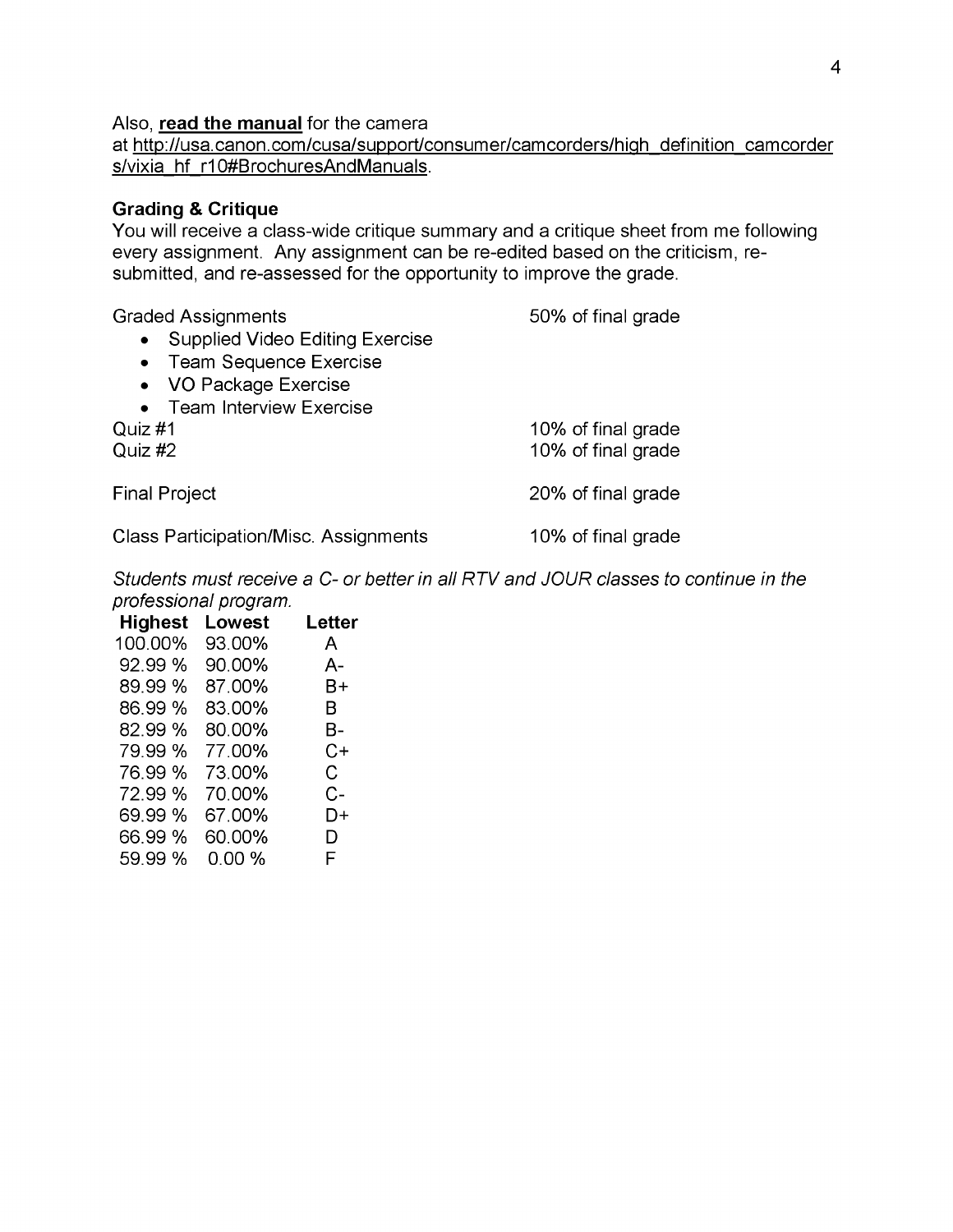#### Also, **read the manual** for the camera

at http://usa.canon.com/cusa/support/consumer/camcorders/high definition camcorder s/vixia hf r10#BrochuresAndManuals.

#### **Grading & Critique**

You will receive a class-wide critique summary and a critique sheet from me following every assignment. Any assignment can be re-edited based on the criticism, resubmitted, and re-assessed for the opportunity to improve the grade.

Graded Assignments 60% of final grade • Supplied Video Editing Exercise • Team Sequence Exercise • VO Package Exercise • Team Interview Exercise Quiz #1 **2006** Outside 2006 of final grade Quiz #2 10% of final grade Final Project **20%** of final grade Class Participation/Misc. Assignments 10% of final grade

*Students must receive a C- or better in all RTV and JOUR classes to continue in the professional program.*

| <b>Highest</b> | Lowest | Letter |
|----------------|--------|--------|
| 100.00%        | 93.00% | A      |
| 92.99 %        | 90.00% | А-     |
| 89.99%         | 87.00% | B+     |
| 86.99 %        | 83.00% | B.     |
| 82.99%         | 80.00% | B-     |
| 79.99%         | 77.00% | C+     |
| 76.99 %        | 73.00% | C.     |
| 72.99 %        | 70.00% | C-     |
| 69.99 %        | 67.00% | D+     |
| 66.99%         | 60.00% | D      |
| 59.99%         | 0.00%  | F      |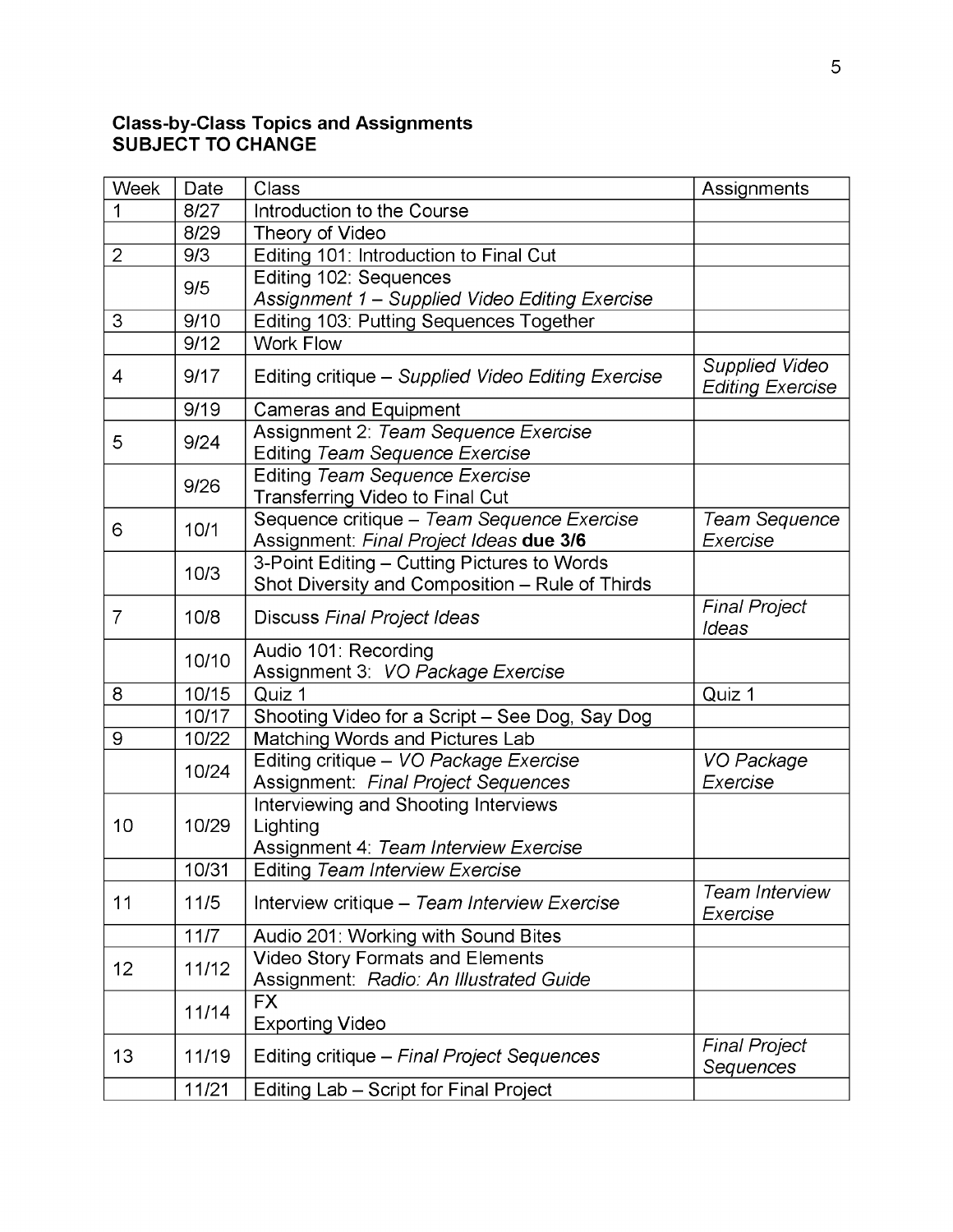#### **Class-by-Class Topics and Assignments SUBJECT TO CHANGE**

| Week           | Date   | Class                                                                                          | Assignments                                      |
|----------------|--------|------------------------------------------------------------------------------------------------|--------------------------------------------------|
|                | 8/27   | Introduction to the Course                                                                     |                                                  |
|                | 8/29   | Theory of Video                                                                                |                                                  |
| $\overline{2}$ | 9/3    | Editing 101: Introduction to Final Cut                                                         |                                                  |
|                | 9/5    | Editing 102: Sequences                                                                         |                                                  |
|                |        | Assignment 1 - Supplied Video Editing Exercise                                                 |                                                  |
| 3              | 9/10   | Editing 103: Putting Sequences Together                                                        |                                                  |
|                | 9/12   | <b>Work Flow</b>                                                                               |                                                  |
| 4              | 9/17   | Editing critique - Supplied Video Editing Exercise                                             | <b>Supplied Video</b><br><b>Editing Exercise</b> |
|                | 9/19   | <b>Cameras and Equipment</b>                                                                   |                                                  |
| 5              | 9/24   | Assignment 2: Team Sequence Exercise<br>Editing Team Sequence Exercise                         |                                                  |
|                | 9/26   | Editing Team Sequence Exercise<br><b>Transferring Video to Final Cut</b>                       |                                                  |
| 6              | 10/1   | Sequence critique - Team Sequence Exercise<br>Assignment: Final Project Ideas due 3/6          | Team Sequence<br>Exercise                        |
|                | 10/3   | 3-Point Editing - Cutting Pictures to Words<br>Shot Diversity and Composition - Rule of Thirds |                                                  |
| 7              | 10/8   | Discuss Final Project Ideas                                                                    | <b>Final Project</b><br>Ideas                    |
|                | 10/10  | Audio 101: Recording<br>Assignment 3: VO Package Exercise                                      |                                                  |
| 8              | 10/15  | Quiz 1                                                                                         | Quiz 1                                           |
|                | 10/17  | Shooting Video for a Script - See Dog, Say Dog                                                 |                                                  |
| 9              | 10/22  | Matching Words and Pictures Lab                                                                |                                                  |
|                | 10/24  | Editing critique - VO Package Exercise<br>Assignment: Final Project Sequences                  | VO Package<br>Exercise                           |
| 10             | 10/29  | Interviewing and Shooting Interviews<br>Lighting<br>Assignment 4: Team Interview Exercise      |                                                  |
|                | 10/31  | Editing Team Interview Exercise                                                                |                                                  |
| 11             | 11/5   | Interview critique - Team Interview Exercise                                                   | <b>Team Interview</b><br>Exercise                |
|                | $11/7$ | Audio 201: Working with Sound Bites                                                            |                                                  |
| 12             | 11/12  | <b>Video Story Formats and Elements</b><br>Assignment: Radio: An Illustrated Guide             |                                                  |
|                | 11/14  | <b>FX</b><br><b>Exporting Video</b>                                                            |                                                  |
| 13             | 11/19  | Editing critique - Final Project Sequences                                                     | <b>Final Project</b><br>Sequences                |
|                | 11/21  | Editing Lab - Script for Final Project                                                         |                                                  |